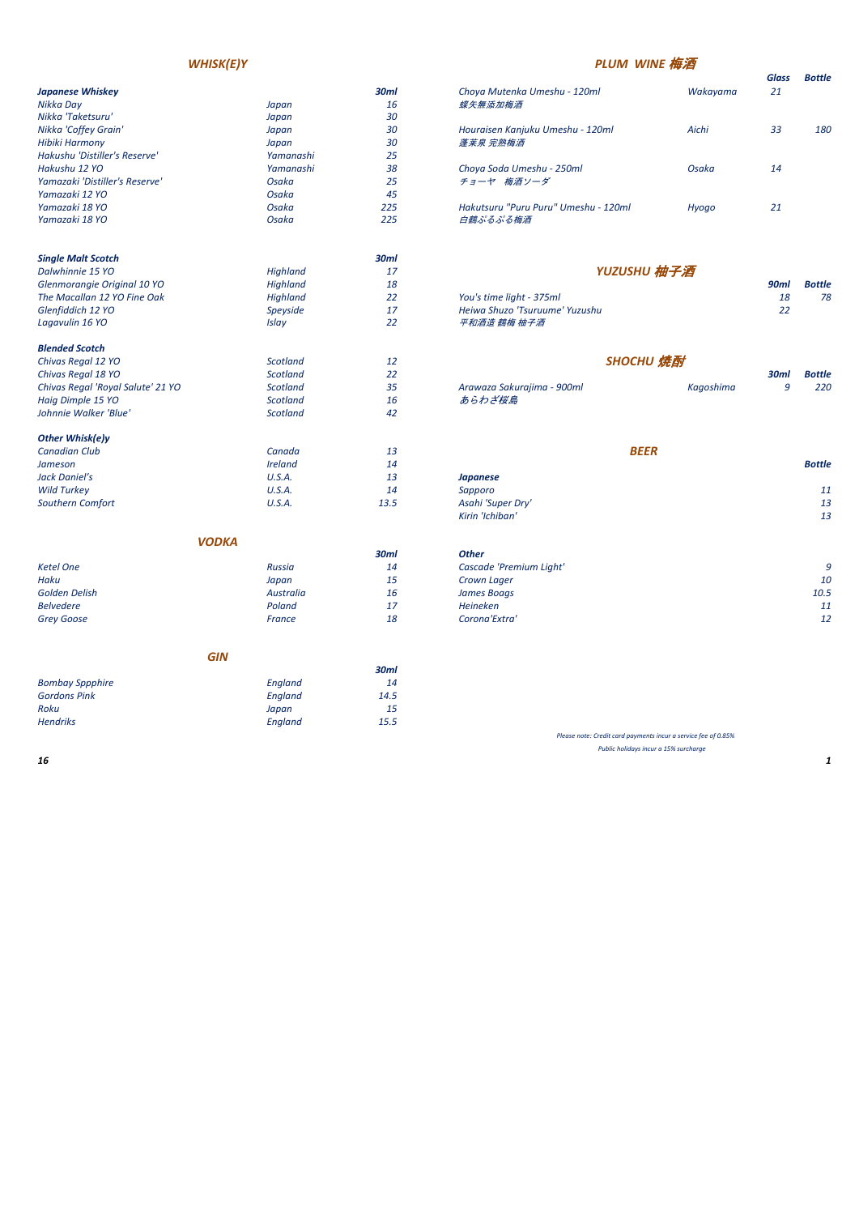| <b>Japanese Whiskey</b>        |           | 30ml | Choya Mutenka Umeshu - 120ml         | Wakayama | 21 |
|--------------------------------|-----------|------|--------------------------------------|----------|----|
| Nikka Day                      | Japan     | 16   | 蝶矢無添加梅酒                              |          |    |
| Nikka 'Taketsuru'              | Japan     | 30   |                                      |          |    |
| Nikka 'Coffey Grain'           | Japan     | 30   | Houraisen Kanjuku Umeshu - 120ml     | Aichi    | 33 |
| <b>Hibiki Harmony</b>          | Japan     | 30   | 蓬莱泉 完熟梅酒                             |          |    |
| Hakushu 'Distiller's Reserve'  | Yamanashi | 25   |                                      |          |    |
| Hakushu 12 YO                  | Yamanashi | 38   | Choya Soda Umeshu - 250ml            | Osaka    | 14 |
| Yamazaki 'Distiller's Reserve' | Osaka     | 25   | チョーヤ 梅酒ソーダ                           |          |    |
| Yamazaki 12 YO                 | Osaka     | 45   |                                      |          |    |
| Yamazaki 18 YO                 | Osaka     | 225  | Hakutsuru "Puru Puru" Umeshu - 120ml | Hyogo    | 21 |
| Yamazaki 18 YO                 | Osaka     | 225  | 白鶴ぷるぷる梅酒                             |          |    |
|                                |           |      |                                      |          |    |
|                                |           |      |                                      |          |    |

| orenmorangie original 10 TO |          | ⊥⊙    |                                | וווטכ | DULLIC |
|-----------------------------|----------|-------|--------------------------------|-------|--------|
| The Macallan 12 YO Fine Oak | Highland | - - - | You's time light - 375ml       | 18    | 78     |
| Glenfiddich 12 YO           | Speyside |       | Heiwa Shuzo 'Tsuruume' Yuzushu |       |        |
| Lagavulin 16 YO             | Islav    |       | 平和酒造 鶴梅 柚子酒                    |       |        |

| <b>Single Malt Scotch</b>   |                 | 30ml |                                |             |               |
|-----------------------------|-----------------|------|--------------------------------|-------------|---------------|
| Dalwhinnie 15 YO            | Highland        | 17   | YUZUSHU 柚子酒                    |             |               |
| Glenmorangie Original 10 YO | Highland        | 18   |                                | <b>90ml</b> | <b>Bottle</b> |
| The Macallan 12 YO Fine Oak | <b>Highland</b> | 22   | You's time light - 375ml       | 18          | 78            |
| Glenfiddich 12 YO           | Speyside        | 17   | Heiwa Shuzo 'Tsuruume' Yuzushu | 22          |               |
| Lagavulin 16 YO             | Islav           | 22   | 平和酒造 鶴梅 柚子酒                    |             |               |
| <b>Blended Scotch</b>       |                 |      | <b><i>Allen March 4</i></b>    |             |               |

|                                |           |      |                                      | ------   |             |        |
|--------------------------------|-----------|------|--------------------------------------|----------|-------------|--------|
| Japanese Whiskey               |           | 30ml | Choya Mutenka Umeshu - 120ml         | Wakayama | Glass<br>21 | Bottle |
| Nikka Day                      | Japan     | 16   | 蝶矢無添加梅酒                              |          |             |        |
| Nikka 'Taketsuru'              | Japan     | 30   |                                      |          |             |        |
| Nikka 'Coffey Grain'           | Japan     | 30   | Houraisen Kanjuku Umeshu - 120ml     | Aichi    | 33          | 180    |
| Hibiki Harmony                 | Japan     | 30   | 蓬莱泉 完熟梅酒                             |          |             |        |
| Hakushu 'Distiller's Reserve'  | Yamanashi | 25   |                                      |          |             |        |
| Hakushu 12 YO                  | Yamanashi | 38   | Choya Soda Umeshu - 250ml            | Osaka    | 14          |        |
| Yamazaki 'Distiller's Reserve' | Osaka     | 25   | チョーヤ 梅酒ソーダ                           |          |             |        |
| Yamazaki 12 YO                 | Osaka     | 45   |                                      |          |             |        |
| Yamazaki 18 YO                 | Osaka     | 225  | Hakutsuru "Puru Puru" Umeshu - 120ml | Hyogo    | 21          |        |
| Yamazaki 18 YO                 | Osaka     | 225  | 白鶴ぷるぷる梅酒                             |          |             |        |
|                                |           |      |                                      |          |             |        |

| Chivus Reyul Io TU                | scouunu  |                            |           | <i><b>SUIIII</b></i> | DULLIE |
|-----------------------------------|----------|----------------------------|-----------|----------------------|--------|
| Chivas Regal 'Royal Salute' 21 YO | Scotland | Arawaza Sakurajima - 900ml | Kagoshima |                      | 220    |
| Haig Dimple 15 YO                 | Scotland | あらわざ桜島                     |           |                      |        |
|                                   |          |                            |           |                      |        |

| Chivas Regal 12 YO                | Scotland | ᆚ  |                            | SHOCHU 焼酎 |             |               |
|-----------------------------------|----------|----|----------------------------|-----------|-------------|---------------|
| Chivas Regal 18 YO                | Scotland | 22 |                            |           | <b>30mi</b> | <b>Bottle</b> |
| Chivas Regal 'Royal Salute' 21 YO | Scotland | 35 | Arawaza Sakurajima - 900ml | Kaaoshima |             | 220           |
| Haig Dimple 15 YO                 | Scotland | 16 | あらわざ桜島                     |           |             |               |
| Johnnie Walker 'Blue'             | Scotland | 42 |                            |           |             |               |
| Other Whisklely                   |          |    |                            |           |             |               |

| <b>ULTIBE WILISKIPJY</b> |                |      |                   |             |               |
|--------------------------|----------------|------|-------------------|-------------|---------------|
| <b>Canadian Club</b>     | Canada         | 13   |                   | <b>BEER</b> |               |
| Jameson                  | <b>Ireland</b> | 14   |                   |             | <b>Bottle</b> |
| Jack Daniel's            | U.S.A.         | 13   | Japanese          |             |               |
| <b>Wild Turkey</b>       | U.S.A.         | 14   | Sapporo           |             | 11            |
| Southern Comfort         | U.S.A.         | 13.5 | Asahi 'Super Dry' |             | 13            |
|                          |                |      |                   |             |               |

| Jameson            | <i><u><b>Ireland</b></u></i> | 14   |                   | <b>Bottle</b> |
|--------------------|------------------------------|------|-------------------|---------------|
| Jack Daniel's      | U.S.A.                       | 13   | Japanese          |               |
| <b>Wild Turkey</b> | U.S.A.                       | 14   | Sapporo           | 11            |
| Southern Comfort   | U.S.A.                       | 13.5 | Asahi 'Super Dry' | 13            |
|                    |                              |      | Kirin 'Ichiban'   | 13            |
|                    |                              |      |                   |               |

|                   |               | 30ml | <b>Other</b>            |          |
|-------------------|---------------|------|-------------------------|----------|
| Ketel One         | <b>Russia</b> | 14   | Cascade 'Premium Light' | $\Omega$ |
| Haku              | Japan         | 15   | Crown Lager             | 10       |
| Golden Delish     | Australia     | 16   | James Boags             | 10.5     |
| <b>Belvedere</b>  | Poland        | 17   | Heineken                | 11       |
| <b>Grey Goose</b> | France        | 18   | Corona'Extra'           | 12       |

|                   | .             |             |                         |      |
|-------------------|---------------|-------------|-------------------------|------|
|                   |               | <b>30ml</b> | <b>Other</b>            |      |
| <b>Ketel One</b>  | <b>Russia</b> | 14          | Cascade 'Premium Light' |      |
| Haku              | Japan         | 15          | Crown Lager             | 10   |
| Golden Delish     | Australia     | 16          | James Boags             | 10.5 |
| <b>Belvedere</b>  | Poland        | 17          | <b>Heineken</b>         | 11   |
| <b>Grey Goose</b> | France        | 18          | Corona'Extra'           | 12   |
|                   |               |             |                         |      |

|                        |         | 30ml |
|------------------------|---------|------|
| <b>Bombay Sppphire</b> | England | 14   |
| <b>Gordons Pink</b>    | England | 14.5 |
| Roku                   | Japan   | 15   |
| <b>Hendriks</b>        | England | 15.5 |

# *WHISK(E)Y PLUM WINE* 梅酒

### *BEER*

*Please note: Credit card payments incur a service fee of 0.85% Public holidays incur a 15% surcharge*

# *SHOCHU* 焼酎

# *YUZUSHU* 柚子酒

### *VODKA*

*GIN*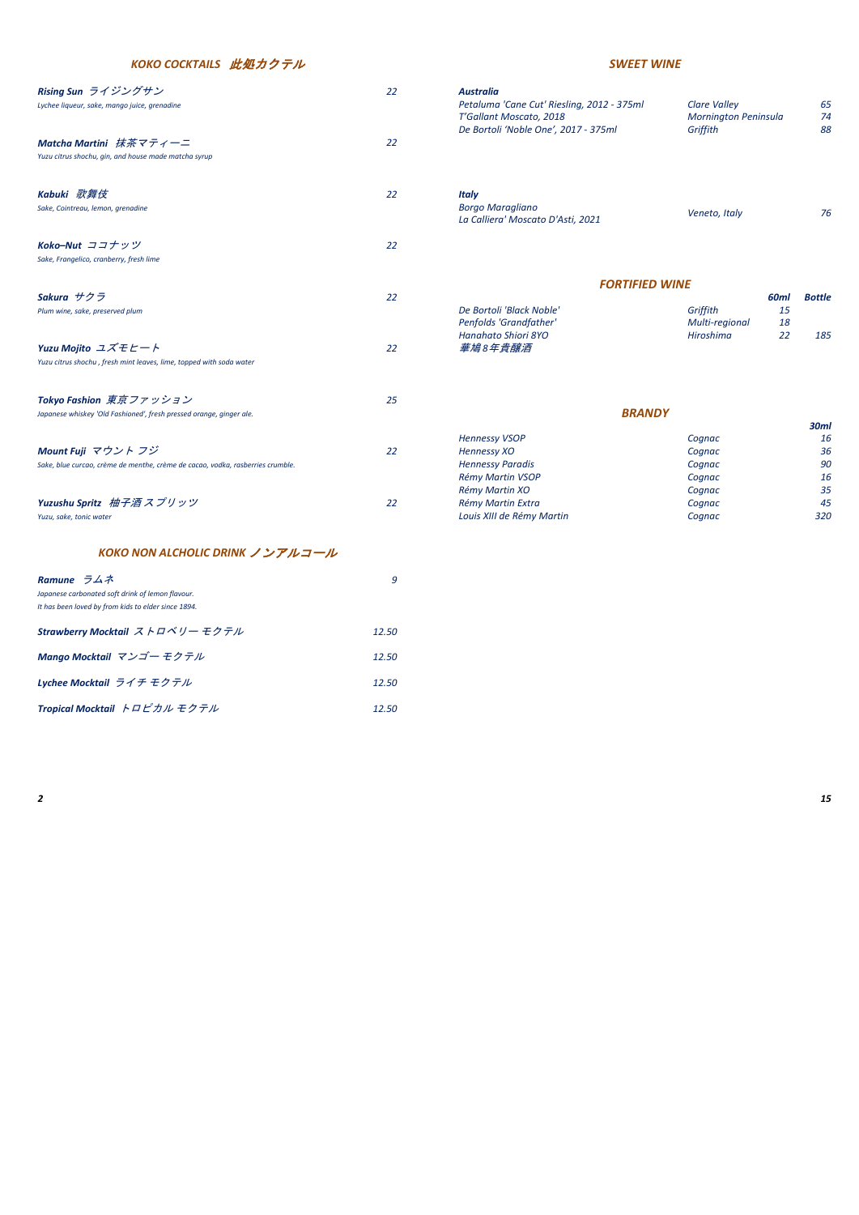| Rising Sun ライジングサン<br>Lychee liqueur, sake, mango juice, grenadine<br>Matcha Martini 抹茶マティーニ<br>Yuzu citrus shochu, gin, and house made matcha syrup | 22<br>22 | <b>Australia</b><br>Petaluma 'Cane Cut' Riesling, 2012 - 375ml<br>T'Gallant Moscato, 2018<br>De Bortoli 'Noble One', 2017 - 375ml | <b>Clare Valley</b><br>Mornington Peninsula<br>Griffith |          | 65<br>74<br>88 |
|------------------------------------------------------------------------------------------------------------------------------------------------------|----------|-----------------------------------------------------------------------------------------------------------------------------------|---------------------------------------------------------|----------|----------------|
|                                                                                                                                                      |          |                                                                                                                                   |                                                         |          |                |
| Kabuki 歌舞伎<br>Sake, Cointreau, lemon, grenadine                                                                                                      | 22       | <b>Italy</b><br><b>Borgo Maragliano</b><br>La Calliera' Moscato D'Asti, 2021                                                      | Veneto, Italy                                           |          | 76             |
| Koko-Nut ココナッツ                                                                                                                                       | 22       |                                                                                                                                   |                                                         |          |                |
| Sake, Frangelico, cranberry, fresh lime                                                                                                              |          |                                                                                                                                   |                                                         |          |                |
|                                                                                                                                                      |          | <b>FORTIFIED WINE</b>                                                                                                             |                                                         |          |                |
| Sakura サクラ                                                                                                                                           | 22       |                                                                                                                                   |                                                         | 60ml     | <b>Bottle</b>  |
| Plum wine, sake, preserved plum                                                                                                                      |          | De Bortoli 'Black Noble'                                                                                                          | Griffith                                                | 15       |                |
|                                                                                                                                                      |          | Penfolds 'Grandfather'<br>Hanahato Shiori 8YO                                                                                     | Multi-regional<br>Hiroshima                             | 18<br>22 | 185            |
| Yuzu Mojito ユズモヒート                                                                                                                                   | 22       | 華鳩8年貴醸酒                                                                                                                           |                                                         |          |                |
| Yuzu citrus shochu, fresh mint leaves, lime, topped with soda water                                                                                  |          |                                                                                                                                   |                                                         |          |                |
|                                                                                                                                                      |          |                                                                                                                                   |                                                         |          |                |
| Tokyo Fashion 東京ファッション<br>Japanese whiskey 'Old Fashioned', fresh pressed orange, ginger ale.                                                        | 25       | <b>BRANDY</b>                                                                                                                     |                                                         |          |                |
|                                                                                                                                                      |          |                                                                                                                                   |                                                         |          | <b>30ml</b>    |
|                                                                                                                                                      |          | <b>Hennessy VSOP</b>                                                                                                              | Cognac                                                  |          | 16             |
| Mount Fuji マウントフジ                                                                                                                                    | 22       | <b>Hennessy XO</b>                                                                                                                | Cognac                                                  |          | 36             |
| Sake, blue curcao, crème de menthe, crème de cacao, vodka, rasberries crumble.                                                                       |          | <b>Hennessy Paradis</b>                                                                                                           | Cognac                                                  |          | 90             |
|                                                                                                                                                      |          | Rémy Martin VSOP                                                                                                                  | Cognac                                                  |          | 16             |
|                                                                                                                                                      |          | Rémy Martin XO                                                                                                                    | Cognac                                                  |          | 35             |
| Yuzushu Spritz 柚子酒スプリッツ                                                                                                                              | 22       | Rémy Martin Extra                                                                                                                 | Cognac                                                  |          | 45             |
| Yuzu, sake, tonic water                                                                                                                              |          | Louis XIII de Rémy Martin                                                                                                         | Cognac                                                  |          | 320            |

|                          |                | ------- | --------- |
|--------------------------|----------------|---------|-----------|
| De Bortoli 'Black Noble' | Griffith       | 15      |           |
| Penfolds 'Grandfather'   | Multi-regional | 18      |           |
| Hanahato Shiori 8YO      | Hiroshima      | 22      | 185       |
| 華鳩8年貴醸酒                  |                |         |           |

| Rising Sun ライジングサン<br>Lychee liqueur, sake, mango juice, grenadine | 22 | <b>Australia</b><br>Petaluma 'Cane Cut' Riesling, 2012 - 375ml<br>T'Gallant Moscato, 2018<br>De Bortoli 'Noble One', 2017 - 375ml | Clare Valley<br>Mornington Peninsula<br>Griffith | 65<br>74<br>88 |
|--------------------------------------------------------------------|----|-----------------------------------------------------------------------------------------------------------------------------------|--------------------------------------------------|----------------|
| Yuzu citrus shochu, gin, and house made matcha syrup               | 22 |                                                                                                                                   |                                                  |                |
| Kabuki 歌舞伎<br>Sake, Cointreau, lemon, grenadine                    | 22 | <b>Italy</b><br><b>Borgo Maragliano</b><br>La Calliera' Moscato D'Asti, 2021                                                      | Veneto, Italy                                    | 76             |
| Koko-Nut ココナッツ<br>Sake, Frangelico, cranberry, fresh lime          | 22 |                                                                                                                                   |                                                  |                |
| Sakura サクラ                                                         | 22 | <b>FORTIFIED WINE</b>                                                                                                             | 60ml                                             | <b>Bottle</b>  |

|                                                                                |    |                           |        | 30 <sub>ml</sub> |
|--------------------------------------------------------------------------------|----|---------------------------|--------|------------------|
|                                                                                |    | <b>Hennessy VSOP</b>      | Cognac | 16               |
| Mount Fuji マウント フジー                                                            | 22 | Hennessy XO               | Cognac | 36               |
| Sake, blue curcao, crème de menthe, crème de cacao, vodka, rasberries crumble. |    | <b>Hennessy Paradis</b>   | Cognac | 90               |
|                                                                                |    | Rémy Martin VSOP          | Cognac | 16               |
|                                                                                |    | Rémy Martin XO            | Cognac | 35               |
| Yuzushu Spritz 柚子酒スプリッツ                                                        | 22 | Rémy Martin Extra         | Cognac | 45               |
| Yuzu, sake, tonic water                                                        |    | Louis XIII de Rémy Martin | Cognac | 320              |
|                                                                                |    |                           |        |                  |

| Ramune $\bar{z} \Delta \vec{x}$<br>Japanese carbonated soft drink of lemon flavour.<br>It has been loved by from kids to elder since 1894. |       |
|--------------------------------------------------------------------------------------------------------------------------------------------|-------|
| Strawberry Mocktail ストロベリー モクテル                                                                                                            | 12.50 |
| Mango Mocktail マンゴー モクテル                                                                                                                   | 12.50 |
| Lychee Mocktail ライチ モクテル                                                                                                                   | 12.50 |
| Tropical Mocktail トロピカル モクテル                                                                                                               | 12.50 |

### *KOKO NON ALCHOLIC DRINK* ノンアルコール

## *KOKO COCKTAILS* 此処カクテル *SWEET WINE*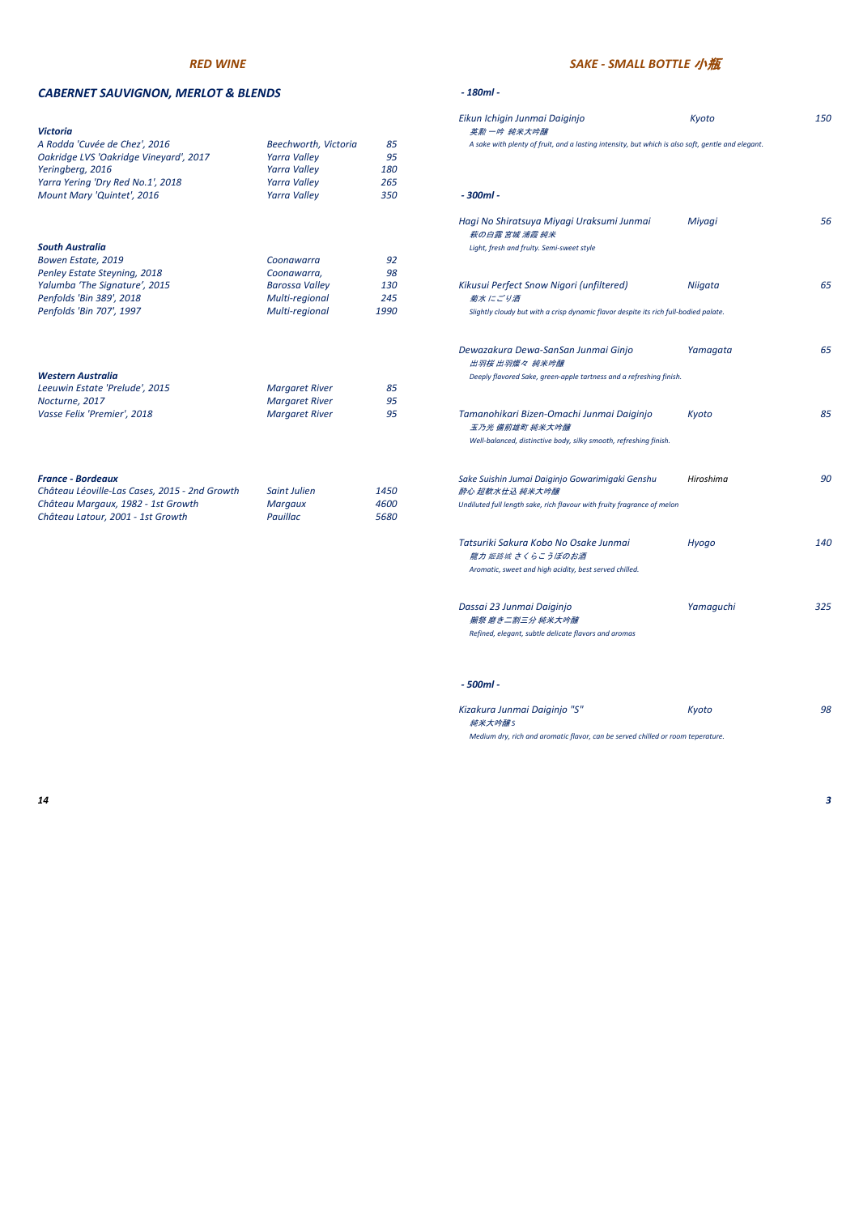### *CABERNET SAUVIGNON, MERLOT & BLENDS - 180ml -*

| <b>Victoria</b>                               |                       |      | 英勲 一吟 純米大吟醸                                                                                       |           |
|-----------------------------------------------|-----------------------|------|---------------------------------------------------------------------------------------------------|-----------|
| A Rodda 'Cuvée de Chez', 2016                 | Beechworth, Victoria  | 85   | A sake with plenty of fruit, and a lasting intensity, but which is also soft, gentle and elegant. |           |
| Oakridge LVS 'Oakridge Vineyard', 2017        | Yarra Valley          | 95   |                                                                                                   |           |
| Yeringberg, 2016                              | <b>Yarra Valley</b>   | 180  |                                                                                                   |           |
| Yarra Yering 'Dry Red No.1', 2018             | <b>Yarra Valley</b>   | 265  |                                                                                                   |           |
| Mount Mary 'Quintet', 2016                    | <b>Yarra Valley</b>   | 350  | $-300ml -$                                                                                        |           |
|                                               |                       |      | Hagi No Shiratsuya Miyagi Uraksumi Junmai<br>萩の白露 宮城 浦霞 純米                                        | Miyagi    |
| <b>South Australia</b>                        |                       |      | Light, fresh and fruity. Semi-sweet style                                                         |           |
| Bowen Estate, 2019                            | Coonawarra            | 92   |                                                                                                   |           |
| Penley Estate Steyning, 2018                  | Coonawarra,           | 98   |                                                                                                   |           |
| Yalumba 'The Signature', 2015                 | <b>Barossa Valley</b> | 130  | Kikusui Perfect Snow Nigori (unfiltered)                                                          | Niigata   |
| Penfolds 'Bin 389', 2018                      | Multi-regional        | 245  | 菊水にごり酒                                                                                            |           |
| Penfolds 'Bin 707', 1997                      | Multi-regional        | 1990 | Slightly cloudy but with a crisp dynamic flavor despite its rich full-bodied palate.              |           |
|                                               |                       |      | Dewazakura Dewa-SanSan Junmai Ginjo<br>出羽桜 出羽燦々 純米吟醸                                              | Yamagata  |
| <b>Western Australia</b>                      |                       |      | Deeply flavored Sake, green-apple tartness and a refreshing finish.                               |           |
| Leeuwin Estate 'Prelude', 2015                | <b>Margaret River</b> | 85   |                                                                                                   |           |
| Nocturne, 2017                                | <b>Margaret River</b> | 95   |                                                                                                   |           |
| Vasse Felix 'Premier', 2018                   | <b>Margaret River</b> | 95   | Tamanohikari Bizen-Omachi Junmai Daiginjo<br>玉乃光 備前雄町 純米大吟醸                                       | Kyoto     |
|                                               |                       |      | Well-balanced, distinctive body, silky smooth, refreshing finish.                                 |           |
| <b>France - Bordeaux</b>                      |                       |      | Sake Suishin Jumai Daiginjo Gowarimigaki Genshu                                                   | Hiroshima |
| Château Léoville-Las Cases, 2015 - 2nd Growth | Saint Julien          | 1450 | 醉心 超軟水仕込 純米大吟醸                                                                                    |           |
| Château Margaux, 1982 - 1st Growth            | Margaux               | 4600 | Undiluted full length sake, rich flavour with fruity fragrance of melon                           |           |
| Château Latour, 2001 - 1st Growth             | Pauillac              | 5680 |                                                                                                   |           |

|                       |                                                                                                          | Eikun Ichigin Junmai Daiginjo                                     | Kyoto                                                                                                                                                                                                                                                    | 150                                                                                                                                                                                                                                                                                                                                                      |
|-----------------------|----------------------------------------------------------------------------------------------------------|-------------------------------------------------------------------|----------------------------------------------------------------------------------------------------------------------------------------------------------------------------------------------------------------------------------------------------------|----------------------------------------------------------------------------------------------------------------------------------------------------------------------------------------------------------------------------------------------------------------------------------------------------------------------------------------------------------|
|                       | 85                                                                                                       |                                                                   |                                                                                                                                                                                                                                                          |                                                                                                                                                                                                                                                                                                                                                          |
| <b>Yarra Valley</b>   | 95                                                                                                       |                                                                   |                                                                                                                                                                                                                                                          |                                                                                                                                                                                                                                                                                                                                                          |
| <b>Yarra Valley</b>   | 180                                                                                                      |                                                                   |                                                                                                                                                                                                                                                          |                                                                                                                                                                                                                                                                                                                                                          |
| <b>Yarra Valley</b>   | 265                                                                                                      |                                                                   |                                                                                                                                                                                                                                                          |                                                                                                                                                                                                                                                                                                                                                          |
| <b>Yarra Valley</b>   | 350                                                                                                      | $-300ml -$                                                        |                                                                                                                                                                                                                                                          |                                                                                                                                                                                                                                                                                                                                                          |
|                       |                                                                                                          | Hagi No Shiratsuya Miyagi Uraksumi Junmai<br>萩の白露 宮城 浦霞 純米        | Miyagi                                                                                                                                                                                                                                                   | 56                                                                                                                                                                                                                                                                                                                                                       |
|                       |                                                                                                          | Light, fresh and fruity. Semi-sweet style                         |                                                                                                                                                                                                                                                          |                                                                                                                                                                                                                                                                                                                                                          |
| Coonawarra            | 92                                                                                                       |                                                                   |                                                                                                                                                                                                                                                          |                                                                                                                                                                                                                                                                                                                                                          |
| Coonawarra,           | 98                                                                                                       |                                                                   |                                                                                                                                                                                                                                                          |                                                                                                                                                                                                                                                                                                                                                          |
| <b>Barossa Valley</b> | 130                                                                                                      | Kikusui Perfect Snow Nigori (unfiltered)                          | Niigata                                                                                                                                                                                                                                                  | 65                                                                                                                                                                                                                                                                                                                                                       |
| Multi-regional        | 245                                                                                                      | 菊水にごり酒                                                            |                                                                                                                                                                                                                                                          |                                                                                                                                                                                                                                                                                                                                                          |
| Multi-regional        | 1990                                                                                                     |                                                                   |                                                                                                                                                                                                                                                          |                                                                                                                                                                                                                                                                                                                                                          |
|                       |                                                                                                          | Dewazakura Dewa-SanSan Junmai Ginjo                               | Yamagata                                                                                                                                                                                                                                                 | 65                                                                                                                                                                                                                                                                                                                                                       |
|                       |                                                                                                          |                                                                   |                                                                                                                                                                                                                                                          |                                                                                                                                                                                                                                                                                                                                                          |
|                       |                                                                                                          |                                                                   |                                                                                                                                                                                                                                                          |                                                                                                                                                                                                                                                                                                                                                          |
|                       |                                                                                                          |                                                                   |                                                                                                                                                                                                                                                          |                                                                                                                                                                                                                                                                                                                                                          |
| <b>Margaret River</b> | 95                                                                                                       | Tamanohikari Bizen-Omachi Junmai Daiginjo                         | Kyoto                                                                                                                                                                                                                                                    | 85                                                                                                                                                                                                                                                                                                                                                       |
|                       |                                                                                                          | Well-balanced, distinctive body, silky smooth, refreshing finish. |                                                                                                                                                                                                                                                          |                                                                                                                                                                                                                                                                                                                                                          |
|                       |                                                                                                          |                                                                   |                                                                                                                                                                                                                                                          | 90                                                                                                                                                                                                                                                                                                                                                       |
|                       |                                                                                                          |                                                                   |                                                                                                                                                                                                                                                          |                                                                                                                                                                                                                                                                                                                                                          |
|                       |                                                                                                          |                                                                   |                                                                                                                                                                                                                                                          |                                                                                                                                                                                                                                                                                                                                                          |
| Pauillac              | 5680                                                                                                     |                                                                   |                                                                                                                                                                                                                                                          |                                                                                                                                                                                                                                                                                                                                                          |
|                       |                                                                                                          | Tatsuriki Sakura Kobo No Osake Junmai<br>龍力 姬路城 さくらこうぼのお酒         | Hyogo                                                                                                                                                                                                                                                    | 140                                                                                                                                                                                                                                                                                                                                                      |
|                       |                                                                                                          |                                                                   |                                                                                                                                                                                                                                                          |                                                                                                                                                                                                                                                                                                                                                          |
|                       |                                                                                                          | Dassai 23 Junmai Daiginjo                                         | Yamaguchi                                                                                                                                                                                                                                                | 325                                                                                                                                                                                                                                                                                                                                                      |
|                       |                                                                                                          |                                                                   |                                                                                                                                                                                                                                                          |                                                                                                                                                                                                                                                                                                                                                          |
|                       |                                                                                                          |                                                                   |                                                                                                                                                                                                                                                          |                                                                                                                                                                                                                                                                                                                                                          |
|                       |                                                                                                          |                                                                   |                                                                                                                                                                                                                                                          |                                                                                                                                                                                                                                                                                                                                                          |
|                       | Beechworth, Victoria<br><b>Margaret River</b><br><b>Margaret River</b><br>Saint Julien<br><b>Margaux</b> | 85<br>95<br>1450<br>4600                                          | 英勲 一吟 純米大吟醸<br>出羽桜 出羽燦々 純米吟醸<br>玉乃光 備前雄町 純米大吟醸<br>Sake Suishin Jumai Daiginjo Gowarimigaki Genshu<br>醉心 超軟水仕込 純米大吟醸<br>Aromatic, sweet and high acidity, best served chilled.<br>獺祭 磨き二割三分 純米大吟醸<br>Refined, elegant, subtle delicate flavors and aromas | A sake with plenty of fruit, and a lasting intensity, but which is also soft, gentle and elegant.<br>Slightly cloudy but with a crisp dynamic flavor despite its rich full-bodied palate.<br>Deeply flavored Sake, green-apple tartness and a refreshing finish.<br>Hiroshima<br>Undiluted full length sake, rich flavour with fruity fragrance of melon |

| Kizakura Junmai Daiginjo "S"                                                    | Kvoto | 98 |
|---------------------------------------------------------------------------------|-------|----|
| 純米大吟醸S                                                                          |       |    |
| Medium dry, rich and aromatic flavor, can be served chilled or room teperature. |       |    |

## *RED WINE SAKE - SMALL BOTTLE* 小瓶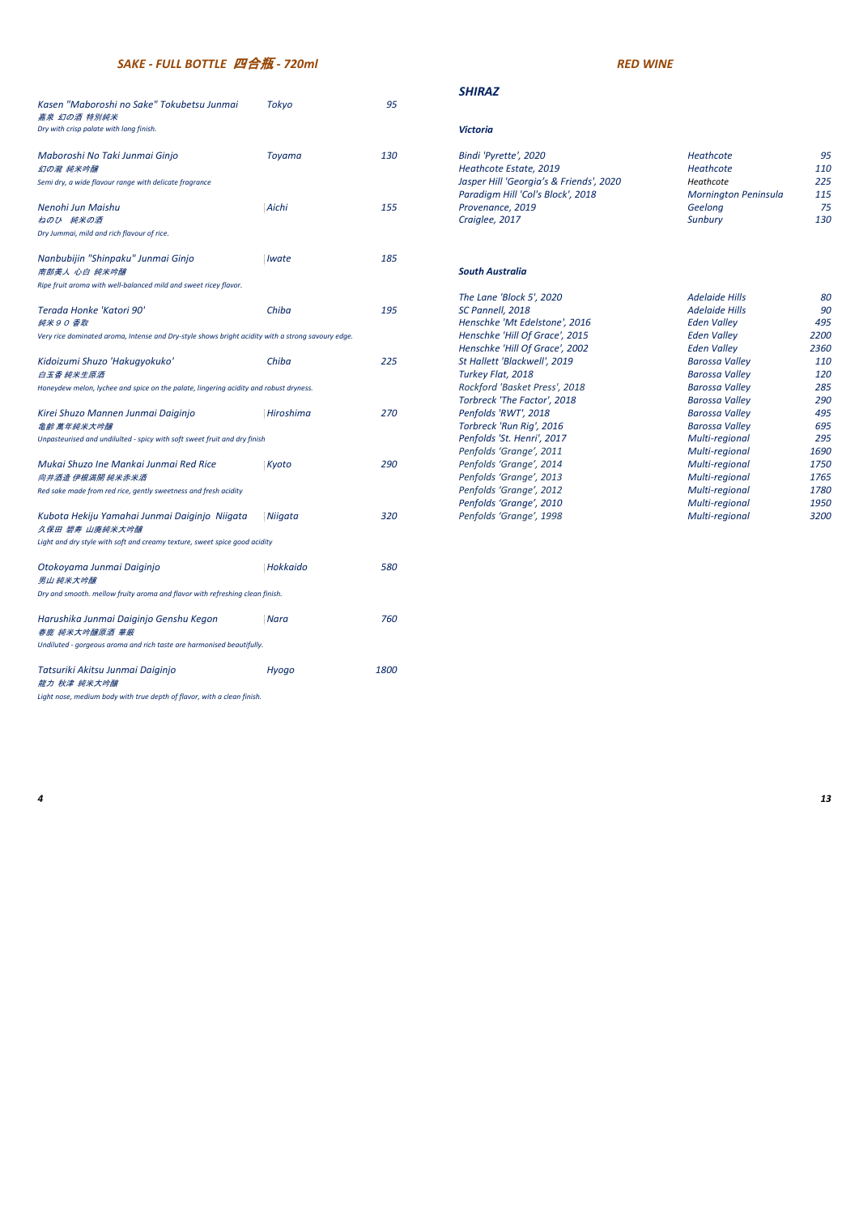### *SHIRAZ*

| Maboroshi No Taki Junmai Ginjo                         | Tovama | 130 | Bindi 'Pyrette', 2020                   | Heathcote            | 95  |
|--------------------------------------------------------|--------|-----|-----------------------------------------|----------------------|-----|
| 幻の瀧 純米吟醸                                               |        |     | Heathcote Estate, 2019                  | Heathcote            | 110 |
| Semi dry, a wide flavour range with delicate fragrance |        |     | Jasper Hill 'Georgia's & Friends', 2020 | Heathcote            | 225 |
|                                                        |        |     | Paradigm Hill 'Col's Block', 2018       | Mornington Peninsula | 115 |
| Nenohi Jun Maishu                                      | Aichi  | 155 | Provenance, 2019                        | Geelong              | 75  |
| ねのひ 純米の酒                                               |        |     | Craiglee, 2017                          | Sunbury              | 130 |

### $South Australia$

| Kasen "Maboroshi no Sake" Tokubetsu Junmai<br>嘉泉 幻の酒 特別純米                                         | Tokyo                      | 95   |                                                                              |                                          |              |
|---------------------------------------------------------------------------------------------------|----------------------------|------|------------------------------------------------------------------------------|------------------------------------------|--------------|
| Dry with crisp palate with long finish.                                                           |                            |      | <b>Victoria</b>                                                              |                                          |              |
| Maboroshi No Taki Junmai Ginjo                                                                    | Toyama                     | 130  | Bindi 'Pyrette', 2020                                                        | Heathcote                                | 95           |
| 幻の瀧 純米吟醸                                                                                          |                            |      | Heathcote Estate, 2019                                                       | Heathcote                                | 110          |
| Semi dry, a wide flavour range with delicate fragrance                                            |                            |      | Jasper Hill 'Georgia's & Friends', 2020<br>Paradigm Hill 'Col's Block', 2018 | Heathcote<br><b>Mornington Peninsula</b> | 225<br>115   |
| Nenohi Jun Maishu                                                                                 | Aichi                      | 155  | Provenance, 2019                                                             | Geelong                                  | 75           |
| ねのひ 純米の酒                                                                                          |                            |      | Craiglee, 2017                                                               | <b>Sunbury</b>                           | 130          |
| Dry Jummai, mild and rich flavour of rice.                                                        |                            |      |                                                                              |                                          |              |
| Nanbubijin "Shinpaku" Junmai Ginjo                                                                | <i><u><b>Iwate</b></u></i> | 185  |                                                                              |                                          |              |
| 南部美人 心白 純米吟醸                                                                                      |                            |      | <b>South Australia</b>                                                       |                                          |              |
| Ripe fruit aroma with well-balanced mild and sweet ricey flavor.                                  |                            |      |                                                                              |                                          |              |
|                                                                                                   |                            |      | The Lane 'Block 5', 2020                                                     | <b>Adelaide Hills</b>                    | 80           |
| Terada Honke 'Katori 90'                                                                          | Chiba                      | 195  | SC Pannell, 2018                                                             | <b>Adelaide Hills</b>                    | 90           |
| 純米90香取                                                                                            |                            |      | Henschke 'Mt Edelstone', 2016                                                | <b>Eden Valley</b>                       | 495          |
| Very rice dominated aroma, Intense and Dry-style shows bright acidity with a strong savoury edge. |                            |      | Henschke 'Hill Of Grace', 2015                                               | <b>Eden Valley</b>                       | 2200         |
|                                                                                                   |                            |      | Henschke 'Hill Of Grace', 2002                                               | <b>Eden Valley</b>                       | 2360         |
| Kidoizumi Shuzo 'Hakugyokuko'                                                                     | Chiba                      | 225  | St Hallett 'Blackwell', 2019                                                 | <b>Barossa Valley</b>                    | 110          |
| 白玉香 純米生原酒                                                                                         |                            |      | Turkey Flat, 2018                                                            | <b>Barossa Valley</b>                    | 120          |
| Honeydew melon, lychee and spice on the palate, lingering acidity and robust dryness.             |                            |      | Rockford 'Basket Press', 2018                                                | <b>Barossa Valley</b>                    | 285          |
|                                                                                                   |                            |      | Torbreck 'The Factor', 2018                                                  | <b>Barossa Valley</b>                    | 290          |
| Kirei Shuzo Mannen Junmai Daiginjo                                                                | Hiroshima                  | 270  | Penfolds 'RWT', 2018                                                         | <b>Barossa Valley</b>                    | 495          |
| <b>亀齢 萬年純米大吟醸</b>                                                                                 |                            |      | Torbreck 'Run Rig', 2016                                                     | <b>Barossa Valley</b>                    | 695          |
| Unpasteurised and undilulted - spicy with soft sweet fruit and dry finish                         |                            |      | Penfolds 'St. Henri', 2017                                                   | Multi-regional                           | 295          |
|                                                                                                   |                            |      | Penfolds 'Grange', 2011                                                      | Multi-regional                           | 1690         |
| Mukai Shuzo Ine Mankai Junmai Red Rice<br>向井酒造 伊根満開 純米赤米酒                                         | Kyoto                      | 290  | Penfolds 'Grange', 2014<br>Penfolds 'Grange', 2013                           | Multi-regional<br>Multi-regional         | 1750<br>1765 |
| Red sake made from red rice, gently sweetness and fresh acidity                                   |                            |      | Penfolds 'Grange', 2012                                                      | Multi-regional                           | 1780         |
|                                                                                                   |                            |      | Penfolds 'Grange', 2010                                                      | Multi-regional                           | 1950         |
| Kubota Hekiju Yamahai Junmai Daiginjo Niigata<br>久保田 碧寿 山廃純米大吟醸                                   | Niigata                    | 320  | Penfolds 'Grange', 1998                                                      | Multi-regional                           | 3200         |
| Light and dry style with soft and creamy texture, sweet spice good acidity                        |                            |      |                                                                              |                                          |              |
| Otokoyama Junmai Daiginjo<br>男山 純米大吟醸                                                             | Hokkaido                   | 580  |                                                                              |                                          |              |
| Dry and smooth. mellow fruity aroma and flavor with refreshing clean finish.                      |                            |      |                                                                              |                                          |              |
| Harushika Junmai Daiginjo Genshu Kegon<br>春鹿 純米大吟醸原酒 華厳                                           | Nara                       | 760  |                                                                              |                                          |              |
| Undiluted - gorgeous aroma and rich taste are harmonised beautifully.                             |                            |      |                                                                              |                                          |              |
| Tatsuriki Akitsu Junmai Daiginjo<br>龍力 秋津 純米大吟醸                                                   | Hyogo                      | 1800 |                                                                              |                                          |              |

|                                                                                                   |           |     | The Lane 'Block 5', 2020       | Adelaide Hills        | 80   |
|---------------------------------------------------------------------------------------------------|-----------|-----|--------------------------------|-----------------------|------|
| Terada Honke 'Katori 90'                                                                          | Chiba     | 195 | SC Pannell, 2018               | <b>Adelaide Hills</b> | 90   |
| 純米90 香取                                                                                           |           |     | Henschke 'Mt Edelstone', 2016  | <b>Eden Valley</b>    | 495  |
| Very rice dominated aroma, Intense and Dry-style shows bright acidity with a strong savoury edge. |           |     | Henschke 'Hill Of Grace', 2015 | Eden Valley           | 2200 |
|                                                                                                   |           |     | Henschke 'Hill Of Grace', 2002 | Eden Valley           | 2360 |
| Kidoizumi Shuzo 'Hakugyokuko'                                                                     | Chiba     | 225 | St Hallett 'Blackwell', 2019   | Barossa Valley        | 110  |
| 白玉香 純米生原酒                                                                                         |           |     | Turkey Flat, 2018              | <b>Barossa Valley</b> | 120  |
| Honeydew melon, lychee and spice on the palate, lingering acidity and robust dryness.             |           |     | Rockford 'Basket Press', 2018  | <b>Barossa Valley</b> | 285  |
|                                                                                                   |           |     | Torbreck 'The Factor', 2018    | Barossa Valley        | 290  |
| Kirei Shuzo Mannen Junmai Daiginjo                                                                | Hiroshima | 270 | Penfolds 'RWT', 2018           | Barossa Valley        | 495  |
| <i>亀齡 萬年純米大吟醸</i>                                                                                 |           |     | Torbreck 'Run Rig', 2016       | <b>Barossa Valley</b> | 695  |
| Unpasteurised and undilulted - spicy with soft sweet fruit and dry finish                         |           |     | Penfolds 'St. Henri', 2017     | Multi-regional        | 295  |
|                                                                                                   |           |     | Penfolds 'Grange', 2011        | Multi-regional        | 1690 |
| Mukai Shuzo Ine Mankai Junmai Red Rice                                                            | Kyoto     | 290 | Penfolds 'Grange', 2014        | Multi-regional        | 1750 |
| 向井酒造 伊根満開 純米赤米酒                                                                                   |           |     | Penfolds 'Grange', 2013        | Multi-regional        | 1765 |
| Red sake made from red rice, gently sweetness and fresh acidity                                   |           |     | Penfolds 'Grange', 2012        | Multi-regional        | 1780 |
|                                                                                                   |           |     | Penfolds 'Grange', 2010        | Multi-regional        | 1950 |
| Kubota Hekiju Yamahai Junmai Daiginjo Niigata                                                     | Niigata   | 320 | Penfolds 'Grange', 1998        | Multi-regional        | 3200 |
|                                                                                                   |           |     |                                |                       |      |

*Light nose, medium body with true depth of flavor, with a clean finish.* 

# *SAKE - FULL BOTTLE* 四合瓶 *- 720ml RED WINE*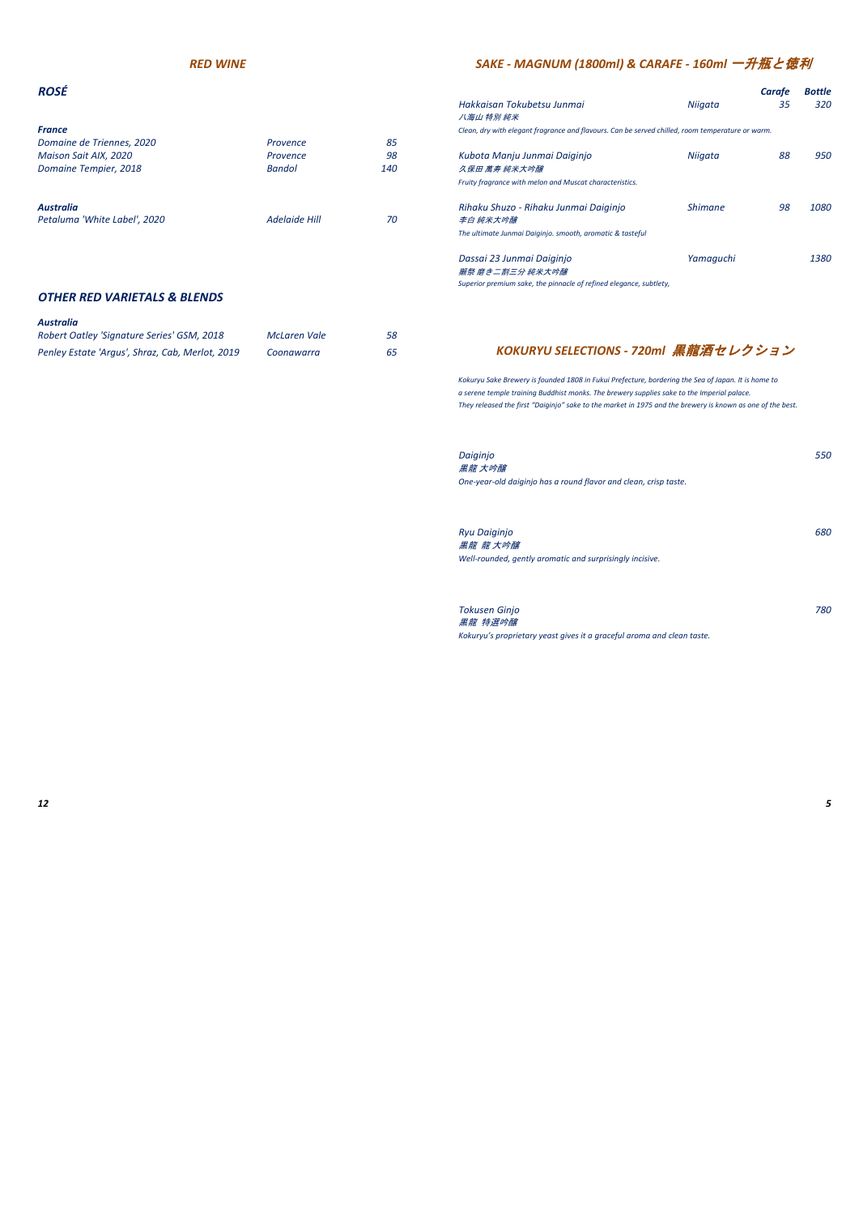| France                       |                      |     | Clean, dry with elegant fra |
|------------------------------|----------------------|-----|-----------------------------|
| Domaine de Triennes, 2020    | Provence             | 85  |                             |
| Maison Sait AIX, 2020        | Provence             | 98  | Kubota Manju Junm           |
| Domaine Tempier, 2018        | <b>Bandol</b>        | 140 | 久保田 萬寿 純米大吟醸                |
|                              |                      |     | Fruity fragrance with melo. |
| <b>Australia</b>             |                      |     | Rihaku Shuzo - Riha         |
| Petaluma 'White Label', 2020 | <b>Adelaide Hill</b> | 70  | 李白 純米大吟醸                    |

| ROSÉ                                   |               |     |                                                                                                  |                | Carafe | <b>Bottle</b> |
|----------------------------------------|---------------|-----|--------------------------------------------------------------------------------------------------|----------------|--------|---------------|
|                                        |               |     | Hakkaisan Tokubetsu Junmai<br>八海山 特別 純米                                                          | Niigata        | 35     | 320           |
| France                                 |               |     | Clean, dry with elegant fragrance and flavours. Can be served chilled, room temperature or warm. |                |        |               |
| Domaine de Triennes, 2020              | Provence      | 85  |                                                                                                  |                |        |               |
| Maison Sait AIX, 2020                  | Provence      | 98  | Kubota Manju Junmai Daiginjo                                                                     | Niigata        | 88     | 950           |
| Domaine Tempier, 2018<br><b>Bandol</b> |               | 140 | 久 <i>保田 萬寿 純米大吟醸</i>                                                                             |                |        |               |
|                                        |               |     | Fruity fragrance with melon and Muscat characteristics.                                          |                |        |               |
| Australia                              |               |     | Rihaku Shuzo - Rihaku Junmai Daiginjo                                                            | <b>Shimane</b> | 98     | 1080          |
| Petaluma 'White Label', 2020           | Adelaide Hill | 70  | 李白 純米大吟醸                                                                                         |                |        |               |
|                                        |               |     | The ultimate Junmai Daiginjo. smooth, aromatic & tasteful                                        |                |        |               |
|                                        |               |     | Dassai 23 Junmai Daiginio                                                                        | Yamaguchi      |        | 1380          |
|                                        |               |     | 獺祭 磨き二割三分 純米大吟醸                                                                                  |                |        |               |
|                                        |               |     | Superior premium sake, the pinnacle of refined elegance, subtlety,                               |                |        |               |

*and delicate flavors and aromas OTHER RED VARIETALS & BLENDS*

### *Australia*

| Robert Oatley 'Signature Series' GSM, 2018      | McLaren Vale | 58 |
|-------------------------------------------------|--------------|----|
| Penley Estate 'Argus', Shraz, Cab, Merlot, 2019 | Coonawarra   | 65 |

*Kokuryu Sake Brewery is founded 1808 in Fukui Prefecture, bordering the Sea of Japan. It is home to a serene temple training Buddhist monks. The brewery supplies sake to the Imperial palace. They released the first "Daiginjo" sake to the market in 1975 and the brewery is known as one of the best.*

| Daiginjo<br>黑龍 大吟醸                                                                          | <i>550</i> |
|---------------------------------------------------------------------------------------------|------------|
| One-year-old daiginjo has a round flavor and clean, crisp taste.                            |            |
| <b>Ryu Daiginjo</b><br>黑龍 龍 大吟醸<br>Well-rounded, gently aromatic and surprisingly incisive. | 680        |

| Tokusen Ginjo                                                          | 780 |
|------------------------------------------------------------------------|-----|
| 黒龍 特選吟醸                                                                |     |
| Kokuryu's proprietary yeast gives it a graceful aroma and clean taste. |     |

## *RED WINE SAKE - MAGNUM (1800ml) & CARAFE - 160ml* 一升瓶と徳利

## *KOKURYU SELECTIONS - 720ml* 黒龍酒セレクション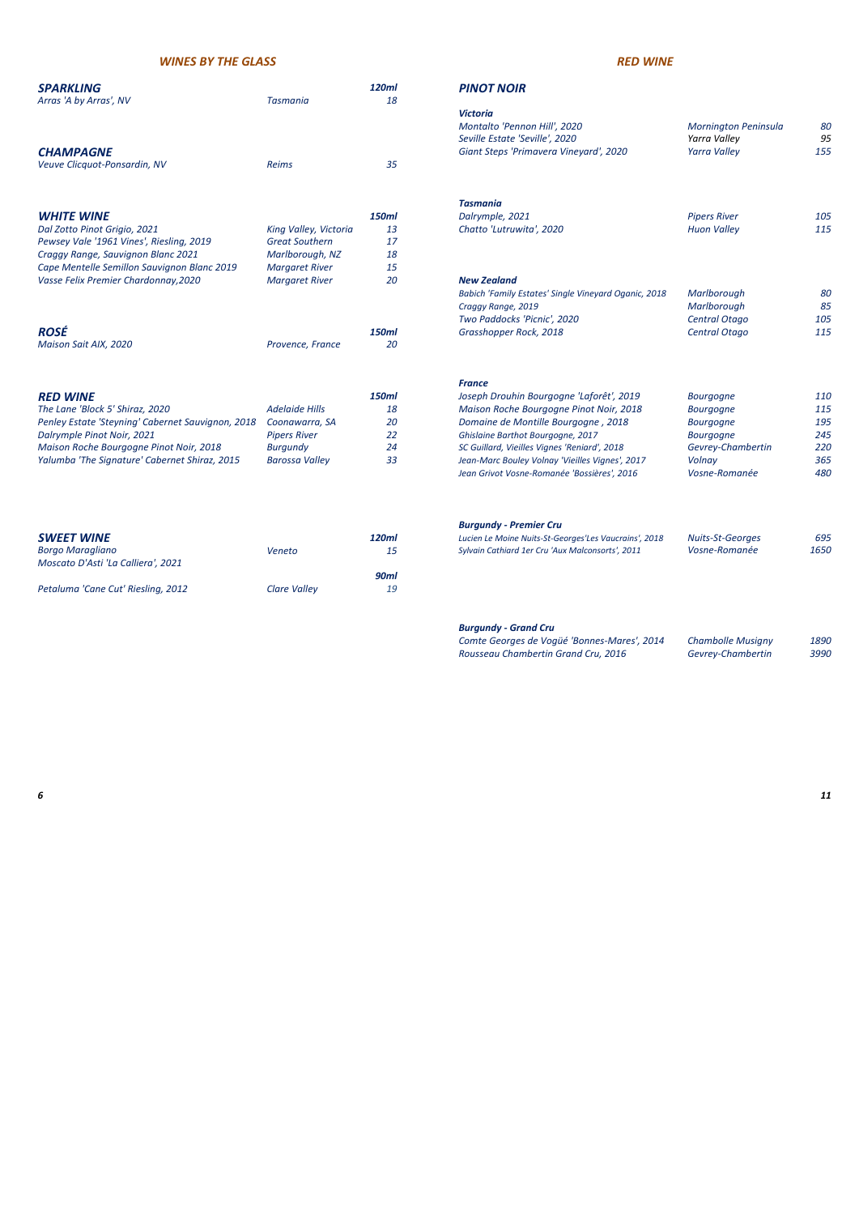### *SPARKLING 120ml PINOT NOIR*

| <b>SPARKLING</b><br>Arras 'A by Arras', NV                    | <b>Tasmania</b>       | 120ml<br>18 | <b>PINOT NO</b>                                                             |
|---------------------------------------------------------------|-----------------------|-------------|-----------------------------------------------------------------------------|
| <b>CHAMPAGNE</b>                                              |                       |             | <b>Victoria</b><br>Montalto 'Pei<br>Seville Estate<br><b>Giant Steps 'F</b> |
| Veuve Clicquot-Ponsardin, NV                                  | <b>Reims</b>          | 35          |                                                                             |
|                                                               |                       |             | Tasmania                                                                    |
| <b>WHITE WINE</b>                                             |                       | 150ml       | Dalrymple, 20                                                               |
| Dal Zotto Pinot Grigio, 2021                                  | King Valley, Victoria | 13          | Chatto 'Lutru                                                               |
| Pewsey Vale '1961 Vines', Riesling, 2019                      | <b>Great Southern</b> | 17          |                                                                             |
| Craggy Range, Sauvignon Blanc 2021                            | Marlborough, NZ       | 18          |                                                                             |
| Cape Mentelle Semillon Sauvignon Blanc 2019                   | <b>Margaret River</b> | 15          |                                                                             |
| Vasse Felix Premier Chardonnay, 2020                          | <b>Margaret River</b> | 20          | <b>New Zealand</b>                                                          |
|                                                               |                       |             | <b>Babich 'Family</b>                                                       |
|                                                               |                       |             | Craggy Range,<br><b>Two Paddock</b>                                         |
| <b>ROSÉ</b>                                                   |                       | 150ml       | Grasshopper                                                                 |
| Maison Sait AIX, 2020                                         | Provence, France      | 20          |                                                                             |
|                                                               |                       |             | <b>France</b>                                                               |
| <b>RED WINE</b>                                               |                       | 150ml       | Joseph Drouh                                                                |
| The Lane 'Block 5' Shiraz, 2020                               | <b>Adelaide Hills</b> | 18          | <b>Maison Roche</b>                                                         |
| Penley Estate 'Steyning' Cabernet Sauvignon, 2018             | Coonawarra, SA        | 20          | Domaine de l                                                                |
| Dalrymple Pinot Noir, 2021                                    | <b>Pipers River</b>   | 22          | <b>Ghislaine Bartl</b>                                                      |
| Maison Roche Bourgogne Pinot Noir, 2018                       | <b>Burgundy</b>       | 24          | SC Guillard, Vie                                                            |
| Yalumba 'The Signature' Cabernet Shiraz, 2015                 | <b>Barossa Valley</b> | 33          | Jean-Marc Bou                                                               |
|                                                               |                       |             | Jean Grivot Vo.                                                             |
|                                                               |                       |             |                                                                             |
|                                                               |                       |             | <b>Burgundy - P.</b>                                                        |
| <b>SWEET WINE</b>                                             |                       | 120ml       | Lucien Le Moine                                                             |
| <b>Borgo Maragliano</b><br>Moscato D'Asti 'La Calliera', 2021 | Veneto                | 15          | <b>Sylvain Cathiard</b>                                                     |
|                                                               |                       | 90ml        |                                                                             |
| Petaluma 'Cane Cut' Riesling, 2012                            | Clare Valley          | 19          |                                                                             |
|                                                               |                       |             |                                                                             |

| AITUS A DY AITUS, IVV                             | rusmuniu              | ŦΟ           |                                                             |                          |      |
|---------------------------------------------------|-----------------------|--------------|-------------------------------------------------------------|--------------------------|------|
|                                                   |                       |              | <b>Victoria</b>                                             |                          |      |
|                                                   |                       |              | Montalto 'Pennon Hill', 2020                                | Mornington Peninsula     | 80   |
|                                                   |                       |              | Seville Estate 'Seville', 2020                              | Yarra Valley             | 95   |
| <b>CHAMPAGNE</b>                                  |                       |              | Giant Steps 'Primavera Vineyard', 2020                      | <b>Yarra Valley</b>      | 155  |
| Veuve Clicquot-Ponsardin, NV                      | <b>Reims</b>          | 35           |                                                             |                          |      |
|                                                   |                       |              |                                                             |                          |      |
|                                                   |                       |              | <b>Tasmania</b>                                             |                          |      |
| <b>WHITE WINE</b>                                 |                       | <b>150ml</b> | Dalrymple, 2021                                             | <b>Pipers River</b>      | 105  |
| Dal Zotto Pinot Grigio, 2021                      | King Valley, Victoria | 13           | Chatto 'Lutruwita', 2020                                    | <b>Huon Valley</b>       | 115  |
| Pewsey Vale '1961 Vines', Riesling, 2019          | <b>Great Southern</b> | 17           |                                                             |                          |      |
| Craggy Range, Sauvignon Blanc 2021                | Marlborough, NZ       | 18           |                                                             |                          |      |
| Cape Mentelle Semillon Sauvignon Blanc 2019       | <b>Margaret River</b> | 15           |                                                             |                          |      |
| Vasse Felix Premier Chardonnay, 2020              | <b>Margaret River</b> | 20           | <b>New Zealand</b>                                          |                          |      |
|                                                   |                       |              | <b>Babich 'Family Estates' Single Vineyard Oganic, 2018</b> | Marlborough              | 80   |
|                                                   |                       |              | Craggy Range, 2019                                          | Marlborough              | 85   |
|                                                   |                       |              | Two Paddocks 'Picnic', 2020                                 | Central Otago            | 105  |
| ROSÉ                                              |                       | <b>150ml</b> | Grasshopper Rock, 2018                                      | Central Otago            | 115  |
| Maison Sait AIX, 2020                             | Provence, France      | 20           |                                                             |                          |      |
|                                                   |                       |              | <b>France</b>                                               |                          |      |
| <b>RED WINE</b>                                   |                       | <b>150ml</b> | Joseph Drouhin Bourgogne 'Laforêt', 2019                    | <b>Bourgogne</b>         | 110  |
| The Lane 'Block 5' Shiraz, 2020                   | <b>Adelaide Hills</b> | 18           | Maison Roche Bourgogne Pinot Noir, 2018                     | <b>Bourgogne</b>         | 115  |
| Penley Estate 'Steyning' Cabernet Sauvignon, 2018 | Coonawarra, SA        | 20           | Domaine de Montille Bourgogne, 2018                         | <b>Bourgogne</b>         | 195  |
| Dalrymple Pinot Noir, 2021                        | <b>Pipers River</b>   | 22           | Ghislaine Barthot Bourgogne, 2017                           | <b>Bourgogne</b>         | 245  |
|                                                   |                       |              |                                                             |                          | 220  |
| Maison Roche Bourgogne Pinot Noir, 2018           | <b>Burgundy</b>       | 24           | SC Guillard, Vieilles Vignes 'Reniard', 2018                | Gevrey-Chambertin        |      |
| Yalumba 'The Signature' Cabernet Shiraz, 2015     | <b>Barossa Valley</b> | 33           | Jean-Marc Bouley Volnay 'Vieilles Vignes', 2017             | Volnay                   | 365  |
|                                                   |                       |              | Jean Grivot Vosne-Romanée 'Bossières', 2016                 | Vosne-Romanée            | 480  |
|                                                   |                       |              | <b>Burgundy - Premier Cru</b>                               |                          |      |
| <b>SWEET WINE</b>                                 |                       | 120ml        | Lucien Le Moine Nuits-St-Georges'Les Vaucrains', 2018       | <b>Nuits-St-Georges</b>  | 695  |
| Borgo Maragliano                                  | Veneto                | 15           | Sylvain Cathiard 1er Cru 'Aux Malconsorts', 2011            | Vosne-Romanée            | 1650 |
| Moscato D'Asti 'La Calliera', 2021                |                       |              |                                                             |                          |      |
|                                                   |                       | <b>90ml</b>  |                                                             |                          |      |
| Petaluma 'Cane Cut' Riesling, 2012                | <b>Clare Valley</b>   | 19           |                                                             |                          |      |
|                                                   |                       |              |                                                             |                          |      |
|                                                   |                       |              | <b>Burgundy - Grand Cru</b>                                 |                          |      |
|                                                   |                       |              | Comte Georges de Vogüé 'Bonnes-Mares', 2014                 | <b>Chambolle Musigny</b> | 1890 |
|                                                   |                       |              | Rousseau Chambertin Grand Cru, 2016                         | Gevrey-Chambertin        | 3990 |
|                                                   |                       |              |                                                             |                          |      |

### *WINES BY THE GLASS RED WINE*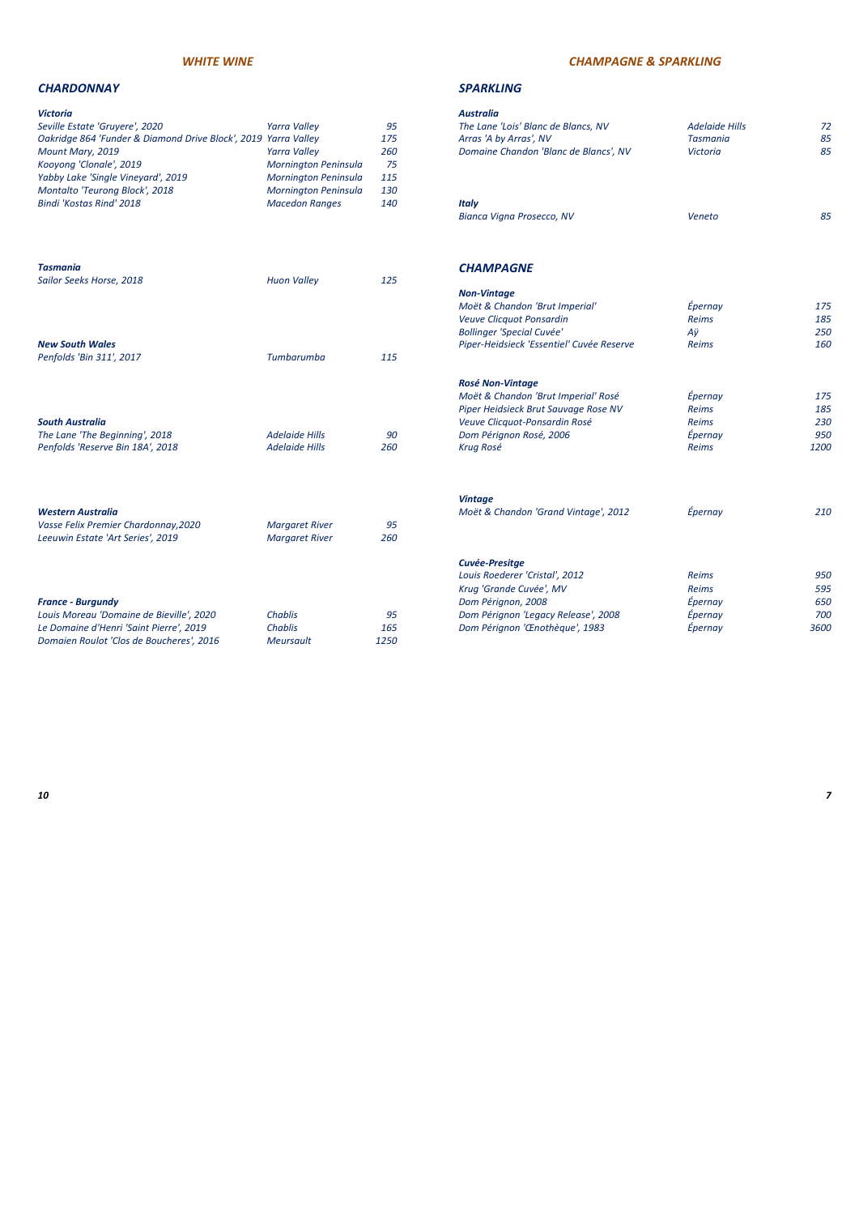### *CHARDONNAY SPARKLING*

| Victoria                                                       |                       |     | <b>Australia</b>                          |                       |            |
|----------------------------------------------------------------|-----------------------|-----|-------------------------------------------|-----------------------|------------|
| Seville Estate 'Gruyere', 2020                                 | <b>Yarra Valley</b>   | 95  | The Lane 'Lois' Blanc de Blancs, NV       | <b>Adelaide Hills</b> | 72         |
| Oakridge 864 'Funder & Diamond Drive Block', 2019 Yarra Valley |                       | 175 | Arras 'A by Arras', NV                    | <b>Tasmania</b>       | 85         |
| Mount Mary, 2019                                               | <b>Yarra Valley</b>   | 260 | Domaine Chandon 'Blanc de Blancs', NV     | <b>Victoria</b>       | 85         |
| Kooyong 'Clonale', 2019                                        | Mornington Peninsula  | 75  |                                           |                       |            |
| Yabby Lake 'Single Vineyard', 2019                             | Mornington Peninsula  | 115 |                                           |                       |            |
| Montalto 'Teurong Block', 2018                                 | Mornington Peninsula  | 130 |                                           |                       |            |
| Bindi 'Kostas Rind' 2018                                       | <b>Macedon Ranges</b> | 140 | <b>Italy</b>                              |                       |            |
|                                                                |                       |     | Bianca Vigna Prosecco, NV                 | Veneto                | 85         |
| Tasmania                                                       |                       |     | <b>CHAMPAGNE</b>                          |                       |            |
| Sailor Seeks Horse, 2018                                       | <b>Huon Valley</b>    | 125 |                                           |                       |            |
|                                                                |                       |     | <b>Non-Vintage</b>                        |                       |            |
|                                                                |                       |     | Moët & Chandon 'Brut Imperial'            | Épernay               | 175        |
|                                                                |                       |     | Veuve Clicquot Ponsardin                  | <b>Reims</b>          | 185        |
|                                                                |                       |     | <b>Bollinger 'Special Cuvée'</b>          | Aÿ                    | 250        |
| <b>New South Wales</b>                                         |                       |     | Piper-Heidsieck 'Essentiel' Cuvée Reserve | <b>Reims</b>          | 160        |
| Penfolds 'Bin 311', 2017                                       | Tumbarumba            | 115 |                                           |                       |            |
|                                                                |                       |     | <b>Rosé Non-Vintage</b>                   |                       |            |
|                                                                |                       |     | Moët & Chandon 'Brut Imperial' Rosé       | Epernay               | 175        |
|                                                                |                       |     | Piper Heidsieck Brut Sauvage Rose NV      | <b>Reims</b>          | 185        |
| <b>South Australia</b>                                         |                       |     | Veuve Clicquot-Ponsardin Rosé             | <b>Reims</b>          | 230        |
| The Lane 'The Beginning', 2018                                 | <b>Adelaide Hills</b> | 90  | Dom Pérignon Rosé, 2006                   | Épernay               | 950        |
| Penfolds 'Reserve Bin 18A', 2018                               | <b>Adelaide Hills</b> | 260 | <b>Krug Rosé</b>                          | <b>Reims</b>          | 1200       |
|                                                                |                       |     | <b>Vintage</b>                            |                       |            |
| <b>Western Australia</b>                                       |                       |     | Moët & Chandon 'Grand Vintage', 2012      | Épernay               | 210        |
| Vasse Felix Premier Chardonnay, 2020                           | <b>Margaret River</b> | 95  |                                           |                       |            |
| Leeuwin Estate 'Art Series', 2019                              | <b>Margaret River</b> | 260 |                                           |                       |            |
|                                                                |                       |     | <b>Cuvée-Presitge</b>                     |                       |            |
|                                                                |                       |     | Louis Roederer 'Cristal', 2012            | <b>Reims</b>          | 950        |
|                                                                |                       |     | Krug 'Grande Cuvée', MV                   | <b>Reims</b>          | 595<br>650 |
| <b>France - Burgundy</b>                                       |                       |     | Dom Pérignon, 2008                        | Épernay               |            |
| Louis Moreau 'Domaine de Bieville', 2020                       | <b>Chablis</b>        | 95  | Dom Pérignon 'Legacy Release', 2008       | Épernay               | 700        |
| Le Domaine d'Henri 'Saint Pierre', 2019                        | <b>Chablis</b>        | 165 | Dom Pérignon 'Œnothèque', 1983            | Épernay               | 3600       |

| <b>Victoria</b>                                                                                       |                                                |           | <b>Australia</b>                                                                                                                |
|-------------------------------------------------------------------------------------------------------|------------------------------------------------|-----------|---------------------------------------------------------------------------------------------------------------------------------|
| Seville Estate 'Gruyere', 2020                                                                        | <b>Yarra Valley</b>                            | 95        | The Lane 'Lois' Bl                                                                                                              |
| Oakridge 864 'Funder & Diamond Drive Block', 2019 Yarra Valley                                        |                                                | 175       | Arras 'A by Arras                                                                                                               |
| Mount Mary, 2019                                                                                      | <b>Yarra Valley</b>                            | 260       | <b>Domaine Chando</b>                                                                                                           |
| Kooyong 'Clonale', 2019                                                                               | Mornington Peninsula                           | 75        |                                                                                                                                 |
| Yabby Lake 'Single Vineyard', 2019                                                                    | Mornington Peninsula                           | 115       |                                                                                                                                 |
| Montalto 'Teurong Block', 2018                                                                        | Mornington Peninsula                           | 130       |                                                                                                                                 |
| Bindi 'Kostas Rind' 2018                                                                              | <b>Macedon Ranges</b>                          | 140       | <b>Italy</b><br><b>Bianca Vigna Pro</b>                                                                                         |
| <b>Tasmania</b><br>Sailor Seeks Horse, 2018                                                           | <b>Huon Valley</b>                             | 125       | <b>CHAMPAGNE</b>                                                                                                                |
|                                                                                                       |                                                |           | <b>Non-Vintage</b><br>Moët & Chandon<br>Veuve Clicquot Po<br><b>Bollinger 'Special</b>                                          |
| <b>New South Wales</b>                                                                                |                                                |           | Piper-Heidsieck 'I                                                                                                              |
| Penfolds 'Bin 311', 2017                                                                              | Tumbarumba                                     | 115       |                                                                                                                                 |
| <b>South Australia</b><br>The Lane 'The Beginning', 2018<br>Penfolds 'Reserve Bin 18A', 2018          | <b>Adelaide Hills</b><br><b>Adelaide Hills</b> | 90<br>260 | <b>Rosé Non-Vintag</b><br>Moët & Chandon<br><b>Piper Heidsieck B</b><br>Veuve Clicquot-P<br>Dom Pérignon Ro<br><b>Krug Rosé</b> |
| <b>Western Australia</b><br>Vasse Felix Premier Chardonnay, 2020<br>Leeuwin Estate 'Art Series', 2019 | <b>Margaret River</b><br><b>Margaret River</b> | 95<br>260 | <b>Vintage</b><br>Moët & Chandon                                                                                                |
| <b>France - Burgundy</b><br>Louis Moreau 'Domaine de Bieville', 2020                                  | <b>Chablis</b>                                 | 95        | Cuvée-Presitge<br>Louis Roederer 'C<br>Krug 'Grande Cuv<br>Dom Pérignon, 2<br>Dom Pérignon 'Le                                  |
| Le Domaine d'Henri 'Saint Pierre', 2019                                                               | <b>Chablis</b>                                 | 165       | Dom Pérignon ' <sub>a</sub>                                                                                                     |
| Domaien Roulot 'Clos de Boucheres', 2016                                                              | <b>Meursault</b>                               | 1250      |                                                                                                                                 |
|                                                                                                       |                                                |           |                                                                                                                                 |

### *WHITE WINE CHAMPAGNE & SPARKLING*